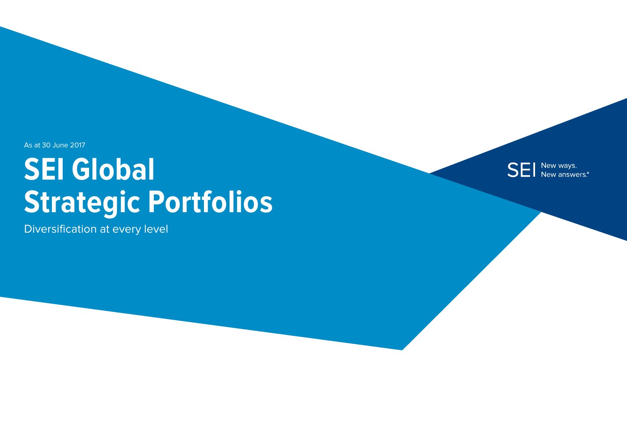As at 30 June 2017

# **SEI Global Strategic Portfolios**

Diversification at every level

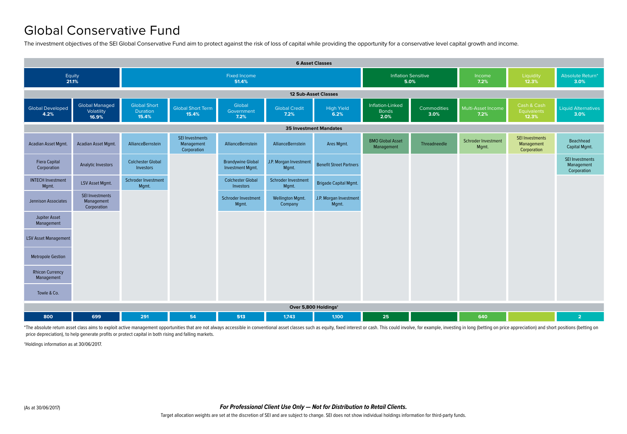## Global Conservative Fund

The investment objectives of the SEI Global Conservative Fund aim to protect against the risk of loss of capital while providing the opportunity for a conservative level capital growth and income.



\*The absolute return asset class aims to exploit active management opportunities that are not always accessible in conventional asset classes such as equity, fixed interest or cash. This could involve, for example, investi price depreciation), to help generate profits or protect capital in both rising and falling markets.

†Holdings information as at 30/06/2017.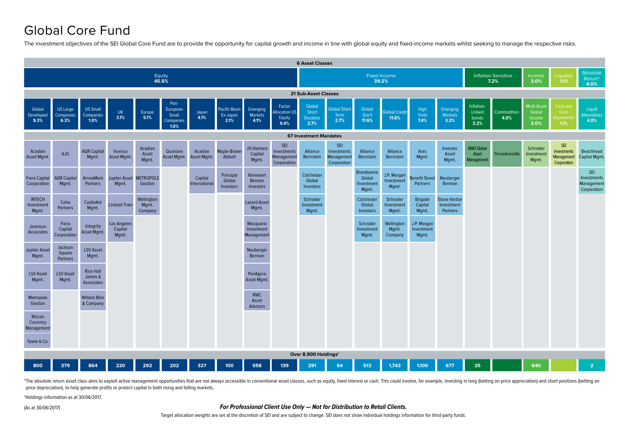## Global Core Fund

The investment objectives of the SEI Global Core Fund are to provide the opportunity for capital growth and income in line with global equity and fixed-income markets whilst seeking to manage the respective risks.



\*The absolute return asset class aims to exploit active management opportunities that are not always accessible in conventional asset classes, such as equity, fixed interest or cash. This could involve, for example, invest price depreciation), to help generate profits or protect capital in both rising and falling markets.

†Holdings information as at 30/06/2017.

(As at 30/06/2017)

#### **For Professional Client Use Only — Not for Distribution to Retail Clients.**

Target allocation weights are set at the discretion of SEI and are subject to change. SEI does not show individual holdings information for third-party funds.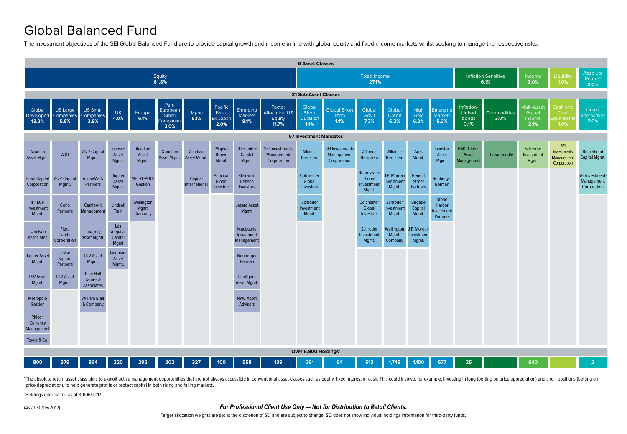## Global Balanced Fund

The investment objectives of the SEI Global Balanced Fund are to provide capital growth and income in line with global equity and fixed-income markets whilst seeking to manage the respective risks.



\*The absolute return asset class aims to exploit active management opportunities that are not always accessible in conventional asset classes such as equity, fixed interest or cash. This could involve, for example, investi price depreciation), to help generate profits or protect capital in both rising and falling markets.

†Holdings information as at 30/06/2017.

(As at 30/06/2017)

#### **For Professional Client Use Only — Not for Distribution to Retail Clients.**

Target allocation weights are set at the discretion of SEI and are subject to change. SEI does not show individual holdings information for third-party funds.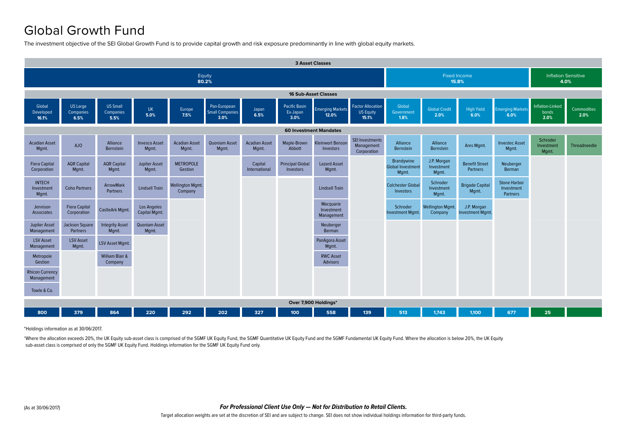## Global Growth Fund

The investment objective of the SEI Global Growth Fund is to provide capital growth and risk exposure predominantly in line with global equity markets.



\*Holdings information as at 30/06/2017.

\*Where the allocation exceeds 20%, the UK Equity sub-asset class is comprised of the SGMF UK Equity Fund, the SGMF Quantitative UK Equity Fund and the SGMF Fundamental UK Equity Fund. Where the allocation is below 20%, the sub-asset class is comprised of only the SGMF UK Equity Fund. Holdings information for the SGMF UK Equity Fund only.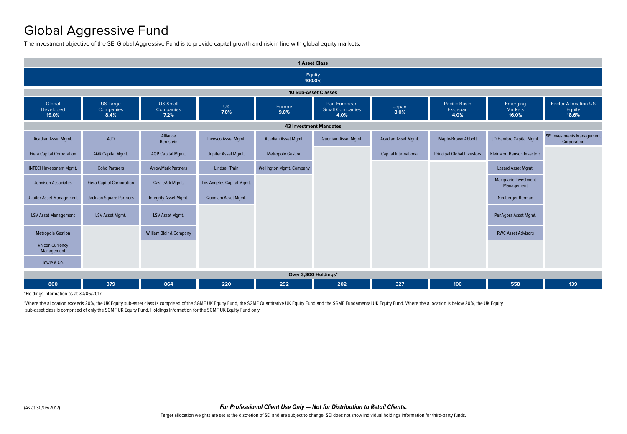## Global Aggressive Fund

The investment objective of the SEI Global Aggressive Fund is to provide capital growth and risk in line with global equity markets.



\*Holdings information as at 30/06/2017.

\*Where the allocation exceeds 20%, the UK Equity sub-asset class is comprised of the SGMF UK Equity Fund, the SGMF Quantitative UK Equity Fund and the SGMF Fundamental UK Equity Fund. Where the allocation is below 20%, the sub-asset class is comprised of only the SGMF UK Equity Fund. Holdings information for the SGMF UK Equity Fund only.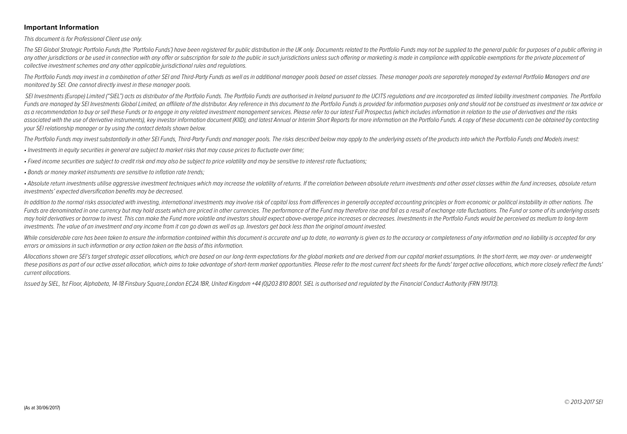#### **Important Information**

This document is for Professional Client use only.

The SEI Global Strategic Portfolio Funds (the 'Portfolio Funds') have been registered for public distribution in the UK only. Documents related to the Portfolio Funds may not be supplied to the general public for purposes any other jurisdictions or be used in connection with any offer or subscription for sale to the public in such jurisdictions unless such offering or marketing is made in compliance with applicable exemptions for the privat collective investment schemes and any other applicable jurisdictional rules and regulations.

The Portfolio Funds may invest in a combination of other SEI and Third-Party Funds as well as in additional manager pools based on asset classes. These manager pools are separately managed by external Portfolio Managers an monitored by SEI. One cannot directly invest in these manager pools.

SEI Investments (Europe) Limited ("SIEL") acts as distributor of the Portfolio Funds. The Portfolio Funds are authorised in Ireland pursuant to the UCITS regulations and are incorporated as limited liability investment com Funds are managed by SEI Investments Global Limited, an affiliate of the distributor. Any reference in this document to the Portfolio Funds is provided for information purposes only and should not be construed as investmen as a recommendation to buy or sell these Funds or to engage in any related investment management services. Please refer to our latest Full Prospectus (which includes information in relation to the use of derivatives and th associated with the use of derivative instruments), key investor information document (KIID), and latest Annual or Interim Short Reports for more information on the Portfolio Funds. A copy of these documents can be obtaine your SEI relationship manager or by using the contact details shown below.

The Portfolio Funds may invest substantially in other SEI Funds, Third-Party Funds and manager pools. The risks described below may apply to the underlying assets of the products into which the Portfolio Funds and Models i

• Investments in equity securities in general are subject to market risks that may cause prices to fluctuate over time;

• Fixed income securities are subject to credit risk and may also be subject to price volatility and may be sensitive to interest rate fluctuations;

• Bonds or money market instruments are sensitive to inflation rate trends;

• Absolute return investments utilise aggressive investment techniques which may increase the volatility of returns. If the correlation between absolute return investments and other asset classes within the fund increases, investments' expected diversification benefits may be decreased.

In addition to the normal risks associated with investing, international investments may involve risk of capital loss from differences in generally accepted accounting principles or from economic or political instability i Funds are denominated in one currency but may hold assets which are priced in other currencies. The performance of the Fund may therefore rise and fall as a result of exchange rate fluctuations. The Fund or some of its und may hold derivatives or borrow to invest. This can make the Fund more volatile and investors should expect above-average price increases or decreases. Investments in the Portfolio Funds would be perceived as medium to long investments. The value of an investment and any income from it can go down as well as up. Investors get back less than the original amount invested.

While considerable care has been taken to ensure the information contained within this document is accurate and up to date, no warranty is given as to the accuracy or completeness of any information and no liability is acc errors or omissions in such information or any action taken on the basis of this information.

Allocations shown are SEI's target strategic asset allocations, which are based on our long-term expectations for the global markets and are derived from our capital market assumptions. In the short-term, we may over- or u these positions as part of our active asset allocation, which aims to take advantage of short-term market opportunities. Please refer to the most current fact sheets for the funds' target active allocations, which more clo current allocations.

Issued by SIEL, 1st Floor, Alphabeta, 14-18 Finsbury Square,London EC2A 1BR, United Kingdom +44 (0)203 810 8001. SIEL is authorised and regulated by the Financial Conduct Authority (FRN 191713).